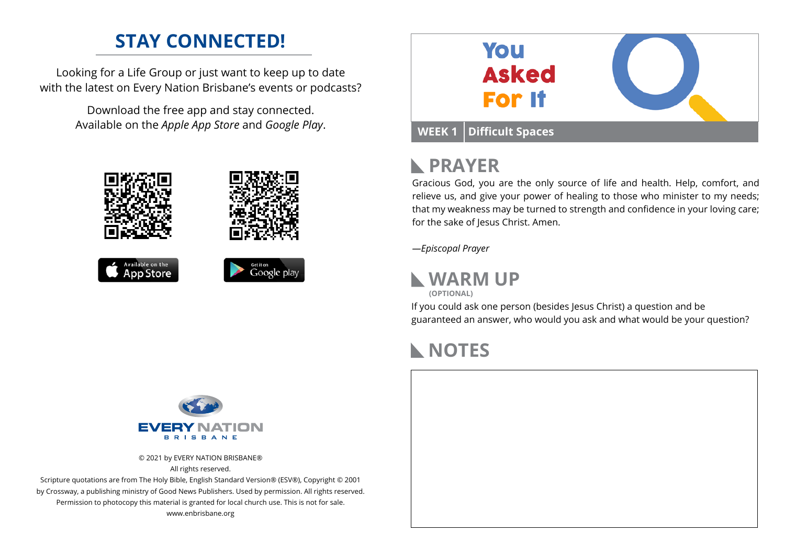### **STAY CONNECTED!**

Looking for a Life Group or just want to keep up to date with the latest on Every Nation Brisbane's events or podcasts?

> Download the free app and stay connected. Available on the *Apple App Store* and *Google Play*.





# **PRAYER**

Gracious God, you are the only source of life and health. Help, comfort, and relieve us, and give your power of healing to those who minister to my needs; that my weakness may be turned to strength and confidence in your loving care; for the sake of Jesus Christ. Amen.

*—Episcopal Prayer*

**WARM UP**

**(OPTIONAL)**

If you could ask one person (besides Jesus Christ) a question and be guaranteed an answer, who would you ask and what would be your question?

# **NOTES**



© 2021 by EVERY NATION BRISBANE® All rights reserved.

Scripture quotations are from The Holy Bible, English Standard Version® (ESV®), Copyright © 2001 by Crossway, a publishing ministry of Good News Publishers. Used by permission. All rights reserved. Permission to photocopy this material is granted for local church use. This is not for sale. www.enbrisbane.org